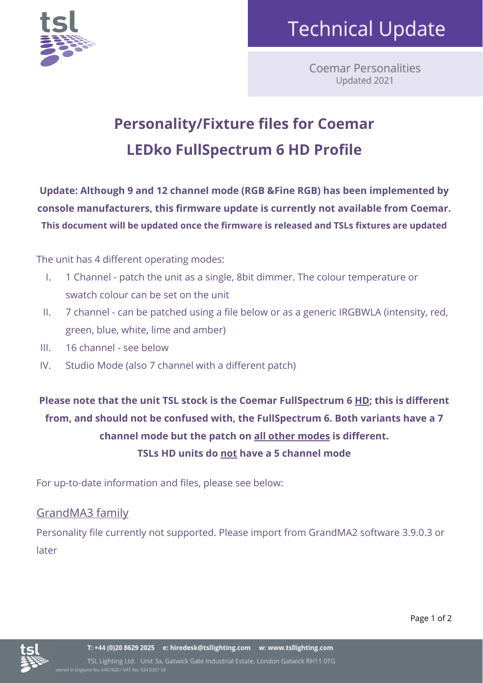

## **Technical Update**

**Coemar Personalities** Updated 2021

### **Personality/Fixture files for Coemar LEDko FullSpectrum 6 HD Profile**

**Update: Although 9 and 12 channel mode (RGB &Fine RGB) has been implemented by console manufacturers, this firmware update is currently not available from Coemar. This document will be updated once the firmware is released and TSLs fixtures are updated**

The unit has 4 different operating modes:

- I. 1 Channel patch the unit as a single, 8bit dimmer. The colour temperature or swatch colour can be set on the unit
- II. 7 channel can be patched using a file below or as a generic IRGBWLA (intensity, red, green, blue, white, lime and amber)
- III. 16 channel see below
- IV. Studio Mode (also 7 channel with a different patch)

**Please note that the unit TSL stock is the Coemar FullSpectrum 6 HD; this is different from, and should not be confused with, the FullSpectrum 6. Both variants have a 7 channel mode but the patch on all other modes is different. TSLs HD units do not have a 5 channel mode**

For up-to-date information and files, please see below:

#### GrandMA3 family

Personality file currently not supported. Please import from GrandMA2 software 3.9.0.3 or later